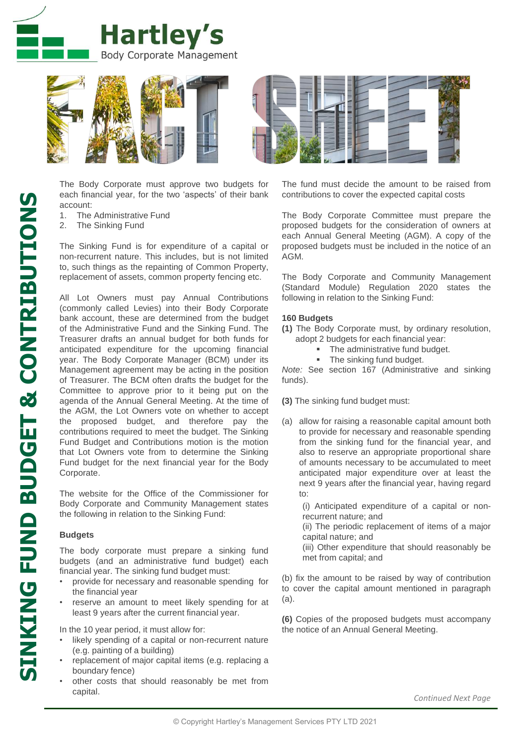



The Body Corporate must approve two budgets for each financial year, for the two 'aspects' of their bank account:

- 1. The Administrative Fund
- 2. The Sinking Fund

The Sinking Fund is for expenditure of a capital or non-recurrent nature. This includes, but is not limited to, such things as the repainting of Common Property, replacement of assets, common property fencing etc.

All Lot Owners must pay Annual Contributions (commonly called Levies) into their Body Corporate bank account, these are determined from the budget of the Administrative Fund and the Sinking Fund. The Treasurer drafts an annual budget for both funds for anticipated expenditure for the upcoming financial year. The Body Corporate Manager (BCM) under its Management agreement may be acting in the position of Treasurer. The BCM often drafts the budget for the Committee to approve prior to it being put on the agenda of the Annual General Meeting. At the time of the AGM, the Lot Owners vote on whether to accept the proposed budget, and therefore pay the contributions required to meet the budget. The Sinking Fund Budget and Contributions motion is the motion that Lot Owners vote from to determine the Sinking Fund budget for the next financial year for the Body Corporate.

The website for the Office of the Commissioner for Body Corporate and Community Management states the following in relation to the Sinking Fund:

## **Budgets**

The body corporate must prepare a sinking fund budgets (and an administrative fund budget) each financial year. The sinking fund budget must:

- provide for necessary and reasonable spending for the financial year
- reserve an amount to meet likely spending for at least 9 years after the current financial year.

In the 10 year period, it must allow for:

- likely spending of a capital or non-recurrent nature (e.g. painting of a building)
- replacement of major capital items (e.g. replacing a boundary fence)
- other costs that should reasonably be met from capital.

The fund must decide the amount to be raised from contributions to cover the expected capital costs

The Body Corporate Committee must prepare the proposed budgets for the consideration of owners at each Annual General Meeting (AGM). A copy of the proposed budgets must be included in the notice of an AGM.

The Body Corporate and Community Management (Standard Module) Regulation 2020 states the following in relation to the Sinking Fund:

### **160 Budgets**

- **(1)** The Body Corporate must, by ordinary resolution, adopt 2 budgets for each financial year:
	- The administrative fund budget.
	- The sinking fund budget.

*Note:* See section 167 (Administrative and sinking funds).

**(3)** The sinking fund budget must:

(a) allow for raising a reasonable capital amount both to provide for necessary and reasonable spending from the sinking fund for the financial year, and also to reserve an appropriate proportional share of amounts necessary to be accumulated to meet anticipated major expenditure over at least the next 9 years after the financial year, having regard to:

(i) Anticipated expenditure of a capital or nonrecurrent nature; and

(ii) The periodic replacement of items of a major capital nature; and

(iii) Other expenditure that should reasonably be met from capital; and

(b) fix the amount to be raised by way of contribution to cover the capital amount mentioned in paragraph (a).

**(6)** Copies of the proposed budgets must accompany the notice of an Annual General Meeting.

*Continued Next Page*